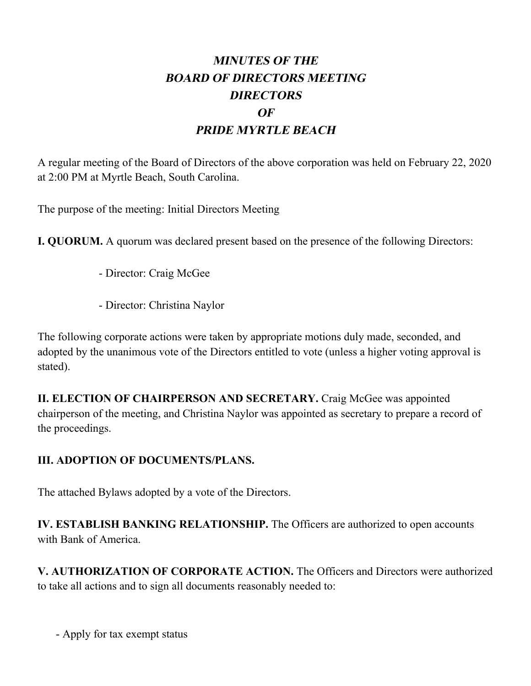## **MINUTES OF THE BOARD OF DIRECTORS MEETING DIRECTORS OF PRIDE MYRTLE BEACH**

A regular meeting of the Board of Directors of the above corporation was held on February 22, 2020 at 2:00 PM at Myrtle Beach, South Carolina.

The purpose of the meeting: Initial Directors Meeting

**I. QUORUM.** A quorum was declared present based on the presence of the following Directors:

- Director: Craig McGee
- Director: Christina Naylor

The following corporate actions were taken by appropriate motions duly made, seconded, and adopted by the unanimous vote of the Directors entitled to vote (unless a higher voting approval is stated).

**II. ELECTION OF CHAIRPERSON AND SECRETARY.** Craig McGee was appointed chairperson of the meeting, and Christina Naylor was appointed as secretary to prepare a record of the proceedings.

## **III. ADOPTION OF DOCUMENTS/PLANS.**

The attached Bylaws adopted by a vote of the Directors.

**IV. ESTABLISH BANKING RELATIONSHIP.** The Officers are authorized to open accounts with Bank of America.

**V. AUTHORIZATION OF CORPORATE ACTION.** The Officers and Directors were authorized to take all actions and to sign all documents reasonably needed to:

- Apply for tax exempt status